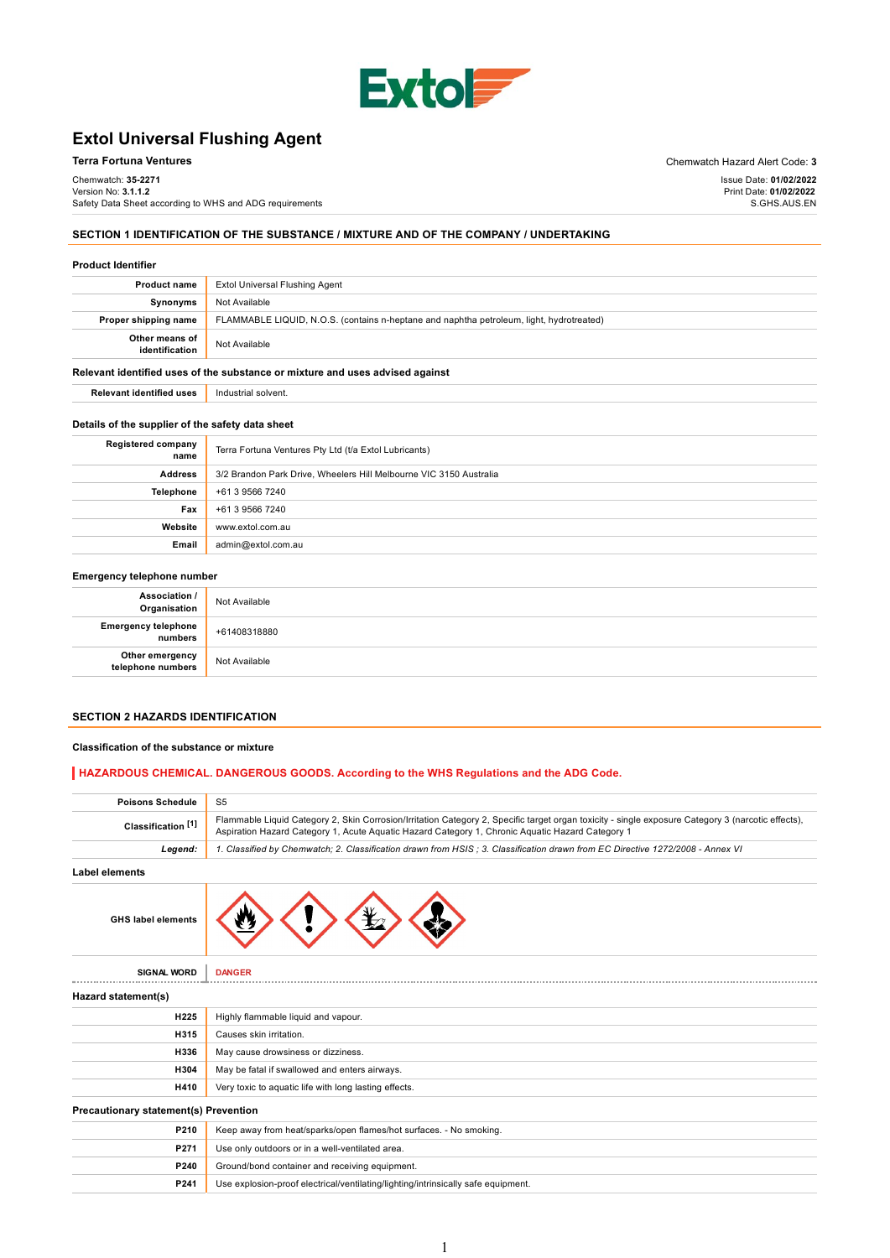

# Extol Universal Flushing Agent

| Terra Fortuna Ventures                                  | Chemwatch Hazard Alert Code: 3 |
|---------------------------------------------------------|--------------------------------|
| Chemwatch: <b>35-2271</b>                               | Issue Date: 01/02/2022         |
| Version No: <b>3.1.1.2</b>                              | Print Date: 01/02/2022         |
| Safety Data Sheet according to WHS and ADG requirements | S.GHS.AUS.EN                   |
|                                                         |                                |

# SECTION 1 IDENTIFICATION OF THE SUBSTANCE / MIXTURE AND OF THE COMPANY / UNDERTAKING

### Product Identifier

| <b>Product name</b>              | Extol Universal Flushing Agent                                                           |
|----------------------------------|------------------------------------------------------------------------------------------|
| Synonyms                         | Not Available                                                                            |
| Proper shipping name             | FLAMMABLE LIQUID, N.O.S. (contains n-heptane and naphtha petroleum, light, hydrotreated) |
| Other means of<br>identification | Not Available                                                                            |

### Relevant identified uses of the substance or mixture and uses advised against

Relevant identified uses | Industrial solvent.

## Details of the supplier of the safety data sheet

| <b>Registered company</b><br>name | Terra Fortuna Ventures Pty Ltd (t/a Extol Lubricants)              |
|-----------------------------------|--------------------------------------------------------------------|
| <b>Address</b>                    | 3/2 Brandon Park Drive, Wheelers Hill Melbourne VIC 3150 Australia |
| Telephone                         | +61 3 9566 7240                                                    |
| Fax                               | +61 3 9566 7240                                                    |
| Website                           | www.extol.com.au                                                   |
| Email                             | admin@extol.com.au                                                 |

#### Emergency telephone number

| Association /                        |               |
|--------------------------------------|---------------|
| Organisation                         | Not Available |
| Emergency telephone<br>numbers       | +61408318880  |
| Other emergency<br>telephone numbers | Not Available |

#### SECTION 2 HAZARDS IDENTIFICATION

### Classification of the substance or mixture

# HAZARDOUS CHEMICAL. DANGEROUS GOODS. According to the WHS Regulations and the ADG Code.

| <b>Poisons Schedule</b>                      | S <sub>5</sub>                                                                                                                                                                                                                                         |  |
|----------------------------------------------|--------------------------------------------------------------------------------------------------------------------------------------------------------------------------------------------------------------------------------------------------------|--|
| Classification <sup>[1]</sup>                | Flammable Liquid Category 2, Skin Corrosion/Irritation Category 2, Specific target organ toxicity - single exposure Category 3 (narcotic effects),<br>Aspiration Hazard Category 1, Acute Aguatic Hazard Category 1, Chronic Aguatic Hazard Category 1 |  |
| Legend:                                      | 1. Classified by Chemwatch; 2. Classification drawn from HSIS; 3. Classification drawn from EC Directive 1272/2008 - Annex VI                                                                                                                          |  |
| <b>Label elements</b>                        |                                                                                                                                                                                                                                                        |  |
| <b>GHS label elements</b>                    |                                                                                                                                                                                                                                                        |  |
| <b>SIGNAL WORD</b>                           | <b>DANGER</b>                                                                                                                                                                                                                                          |  |
| Hazard statement(s)                          |                                                                                                                                                                                                                                                        |  |
| <b>H225</b>                                  | Highly flammable liquid and vapour.                                                                                                                                                                                                                    |  |
| H315                                         | Causes skin irritation.                                                                                                                                                                                                                                |  |
| H336                                         | May cause drowsiness or dizziness.                                                                                                                                                                                                                     |  |
| H304                                         | May be fatal if swallowed and enters airways.                                                                                                                                                                                                          |  |
| <b>H410</b>                                  | Very toxic to aquatic life with long lasting effects.                                                                                                                                                                                                  |  |
| <b>Precautionary statement(s) Prevention</b> |                                                                                                                                                                                                                                                        |  |
| P210                                         | Keep away from heat/sparks/open flames/hot surfaces. - No smoking.                                                                                                                                                                                     |  |
| P271                                         | Use only outdoors or in a well-ventilated area.                                                                                                                                                                                                        |  |
| P240                                         | Ground/bond container and receiving equipment.                                                                                                                                                                                                         |  |
| P241                                         | Use explosion-proof electrical/ventilating/lighting/intrinsically safe equipment.                                                                                                                                                                      |  |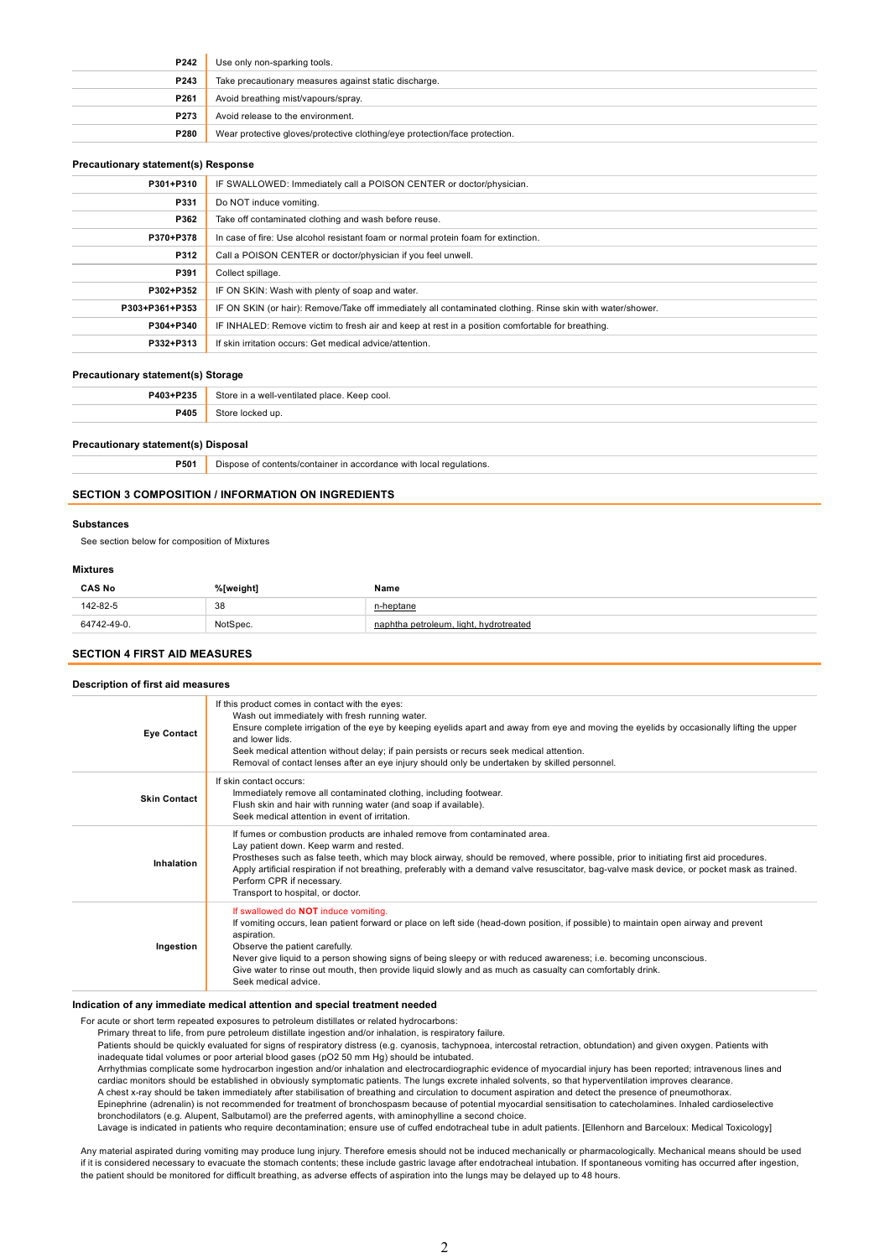| P242 | Use only non-sparking tools.                                               |
|------|----------------------------------------------------------------------------|
| P243 | Take precautionary measures against static discharge.                      |
| P261 | Avoid breathing mist/vapours/spray.                                        |
| P273 | Avoid release to the environment.                                          |
| P280 | Wear protective gloves/protective clothing/eye protection/face protection. |

#### Precautionary statement(s) Response

| P301+P310      | IF SWALLOWED: Immediately call a POISON CENTER or doctor/physician.                                        |
|----------------|------------------------------------------------------------------------------------------------------------|
| P331           | Do NOT induce vomiting.                                                                                    |
| P362           | Take off contaminated clothing and wash before reuse.                                                      |
| P370+P378      | In case of fire: Use alcohol resistant foam or normal protein foam for extinction.                         |
| P312           | Call a POISON CENTER or doctor/physician if you feel unwell.                                               |
| P391           | Collect spillage.                                                                                          |
| P302+P352      | IF ON SKIN: Wash with plenty of soap and water.                                                            |
| P303+P361+P353 | IF ON SKIN (or hair): Remove/Take off immediately all contaminated clothing. Rinse skin with water/shower. |
| P304+P340      | IF INHALED: Remove victim to fresh air and keep at rest in a position comfortable for breathing.           |
| P332+P313      | If skin irritation occurs: Get medical advice/attention.                                                   |
|                |                                                                                                            |

#### Precautionary statement(s) Storage

| P403+P235   | Store in a well-ventilated place. Keep cool. |
|-------------|----------------------------------------------|
| <b>P405</b> | ≧t∧r<br>Cred un                              |

#### Precautionary statement(s) Disposal

**P501** Dispose of contents/container in accordance with local regulations.

### SECTION 3 COMPOSITION / INFORMATION ON INGREDIENTS

# Substances

See section below for composition of Mixtures

# Mixtures

| <b>CAS No</b>  | %[weight] | Name                                |
|----------------|-----------|-------------------------------------|
| 142-82-5       | 38<br>. . | า-heptane                           |
| $2 - 49 - 0$ . | NotSpec.  | . light. hvdrotreated<br>∟petroleum |

#### SECTION 4 FIRST AID MEASURES

### Description of first aid measures

| <b>Eye Contact</b>  | If this product comes in contact with the eyes:<br>Wash out immediately with fresh running water.<br>Ensure complete irrigation of the eye by keeping eyelids apart and away from eye and moving the eyelids by occasionally lifting the upper<br>and lower lids.<br>Seek medical attention without delay; if pain persists or recurs seek medical attention.<br>Removal of contact lenses after an eye injury should only be undertaken by skilled personnel.                         |
|---------------------|----------------------------------------------------------------------------------------------------------------------------------------------------------------------------------------------------------------------------------------------------------------------------------------------------------------------------------------------------------------------------------------------------------------------------------------------------------------------------------------|
| <b>Skin Contact</b> | If skin contact occurs:<br>Immediately remove all contaminated clothing, including footwear.<br>Flush skin and hair with running water (and soap if available).<br>Seek medical attention in event of irritation.                                                                                                                                                                                                                                                                      |
| Inhalation          | If fumes or combustion products are inhaled remove from contaminated area.<br>Lay patient down. Keep warm and rested.<br>Prostheses such as false teeth, which may block airway, should be removed, where possible, prior to initiating first aid procedures.<br>Apply artificial respiration if not breathing, preferably with a demand valve resuscitator, bag-valve mask device, or pocket mask as trained.<br>Perform CPR if necessary.<br>Transport to hospital, or doctor.       |
| Ingestion           | If swallowed do NOT induce vomiting.<br>If vomiting occurs, lean patient forward or place on left side (head-down position, if possible) to maintain open airway and prevent<br>aspiration.<br>Observe the patient carefully.<br>Never give liquid to a person showing signs of being sleepy or with reduced awareness; i.e. becoming unconscious.<br>Give water to rinse out mouth, then provide liquid slowly and as much as casualty can comfortably drink.<br>Seek medical advice. |

## Indication of any immediate medical attention and special treatment needed

For acute or short term repeated exposures to petroleum distillates or related hydrocarbons:

Primary threat to life, from pure petroleum distillate ingestion and/or inhalation, is respiratory failure.

Patients should be quickly evaluated for signs of respiratory distress (e.g. cyanosis, tachypnoea, intercostal retraction, obtundation) and given oxygen. Patients with inadequate tidal volumes or poor arterial blood gases (pO2 50 mm Hg) should be intubated.

Arrhythmias complicate some hydrocarbon ingestion and/or inhalation and electrocardiographic evidence of myocardial injury has been reported; intravenous lines and cardiac monitors should be established in obviously symptomatic patients. The lungs excrete inhaled solvents, so that hyperventilation improves clearance.

A chest x-ray should be taken immediately after stabilisation of breathing and circulation to document aspiration and detect the presence of pneumothorax.

Epinephrine (adrenalin) is not recommended for treatment of bronchospasm because of potential myocardial sensitisation to catecholamines. Inhaled cardioselective bronchodilators (e.g. Alupent, Salbutamol) are the preferred agents, with aminophylline a second choice.

Lavage is indicated in patients who require decontamination; ensure use of cuffed endotracheal tube in adult patients. [Ellenhorn and Barceloux: Medical Toxicology]

Any material aspirated during vomiting may produce lung injury. Therefore emesis should not be induced mechanically or pharmacologically. Mechanical means should be used<br>if it is considered necessary to evacuate the stomac the patient should be monitored for difficult breathing, as adverse effects of aspiration into the lungs may be delayed up to 48 hours.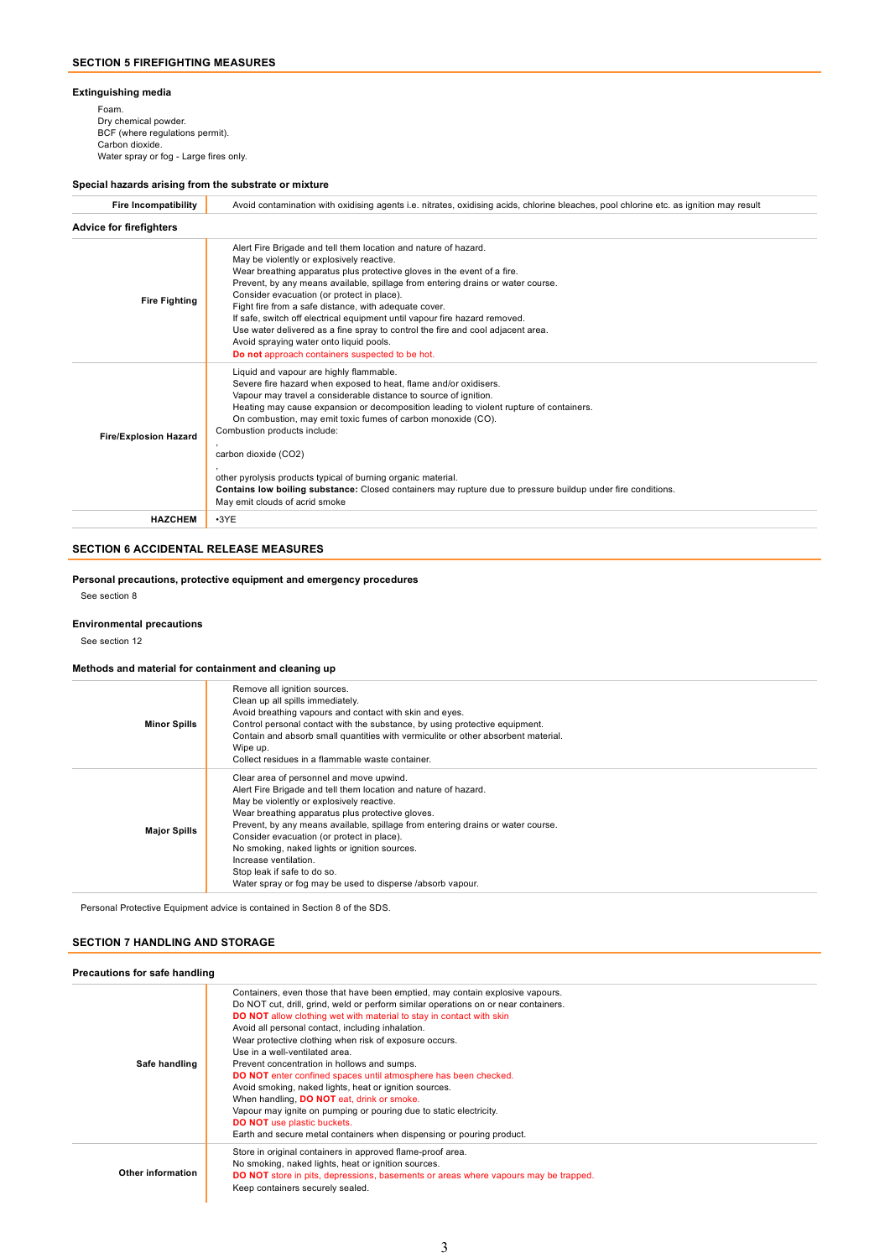## Extinguishing media

Foam. Dry chemical powder. BCF (where regulations permit). Carbon dioxide. Water spray or fog - Large fires only.

## Special hazards arising from the substrate or mixture

| <b>Fire Incompatibility</b>    | Avoid contamination with oxidising agents i.e. nitrates, oxidising acids, chlorine bleaches, pool chlorine etc. as ignition may result                                                                                                                                                                                                                                                                                                                                                                                                                                                                                                           |  |  |
|--------------------------------|--------------------------------------------------------------------------------------------------------------------------------------------------------------------------------------------------------------------------------------------------------------------------------------------------------------------------------------------------------------------------------------------------------------------------------------------------------------------------------------------------------------------------------------------------------------------------------------------------------------------------------------------------|--|--|
| <b>Advice for firefighters</b> |                                                                                                                                                                                                                                                                                                                                                                                                                                                                                                                                                                                                                                                  |  |  |
| <b>Fire Fighting</b>           | Alert Fire Brigade and tell them location and nature of hazard.<br>May be violently or explosively reactive.<br>Wear breathing apparatus plus protective gloves in the event of a fire.<br>Prevent, by any means available, spillage from entering drains or water course.<br>Consider evacuation (or protect in place).<br>Fight fire from a safe distance, with adequate cover.<br>If safe, switch off electrical equipment until vapour fire hazard removed.<br>Use water delivered as a fine spray to control the fire and cool adjacent area.<br>Avoid spraying water onto liquid pools.<br>Do not approach containers suspected to be hot. |  |  |
| <b>Fire/Explosion Hazard</b>   | Liquid and vapour are highly flammable.<br>Severe fire hazard when exposed to heat, flame and/or oxidisers.<br>Vapour may travel a considerable distance to source of ignition.<br>Heating may cause expansion or decomposition leading to violent rupture of containers.<br>On combustion, may emit toxic fumes of carbon monoxide (CO).<br>Combustion products include:<br>carbon dioxide (CO2)<br>other pyrolysis products typical of burning organic material.<br>Contains low boiling substance: Closed containers may rupture due to pressure buildup under fire conditions.<br>May emit clouds of acrid smoke                             |  |  |
| <b>HAZCHEM</b>                 | $-3YE$                                                                                                                                                                                                                                                                                                                                                                                                                                                                                                                                                                                                                                           |  |  |

# SECTION 6 ACCIDENTAL RELEASE MEASURES

Personal precautions, protective equipment and emergency procedures

See section 8

## Environmental precautions

See section 12

# Methods and material for containment and cleaning up

| <b>Minor Spills</b> | Remove all ignition sources.<br>Clean up all spills immediately.<br>Avoid breathing vapours and contact with skin and eyes.<br>Control personal contact with the substance, by using protective equipment.<br>Contain and absorb small quantities with vermiculite or other absorbent material.<br>Wipe up.<br>Collect residues in a flammable waste container.                                                                                                                                                      |
|---------------------|----------------------------------------------------------------------------------------------------------------------------------------------------------------------------------------------------------------------------------------------------------------------------------------------------------------------------------------------------------------------------------------------------------------------------------------------------------------------------------------------------------------------|
| <b>Major Spills</b> | Clear area of personnel and move upwind.<br>Alert Fire Brigade and tell them location and nature of hazard.<br>May be violently or explosively reactive.<br>Wear breathing apparatus plus protective gloves.<br>Prevent, by any means available, spillage from entering drains or water course.<br>Consider evacuation (or protect in place).<br>No smoking, naked lights or ignition sources.<br>Increase ventilation.<br>Stop leak if safe to do so.<br>Water spray or fog may be used to disperse /absorb vapour. |

Personal Protective Equipment advice is contained in Section 8 of the SDS.

## SECTION 7 HANDLING AND STORAGE

# Precautions for safe handling

| Safe handling     | Containers, even those that have been emptied, may contain explosive vapours.<br>Do NOT cut, drill, grind, weld or perform similar operations on or near containers.<br><b>DO NOT</b> allow clothing wet with material to stay in contact with skin<br>Avoid all personal contact, including inhalation.<br>Wear protective clothing when risk of exposure occurs.<br>Use in a well-ventilated area.<br>Prevent concentration in hollows and sumps.<br><b>DO NOT</b> enter confined spaces until atmosphere has been checked.<br>Avoid smoking, naked lights, heat or ignition sources.<br>When handling, <b>DO NOT</b> eat, drink or smoke.<br>Vapour may ignite on pumping or pouring due to static electricity.<br><b>DO NOT</b> use plastic buckets.<br>Earth and secure metal containers when dispensing or pouring product. |
|-------------------|-----------------------------------------------------------------------------------------------------------------------------------------------------------------------------------------------------------------------------------------------------------------------------------------------------------------------------------------------------------------------------------------------------------------------------------------------------------------------------------------------------------------------------------------------------------------------------------------------------------------------------------------------------------------------------------------------------------------------------------------------------------------------------------------------------------------------------------|
| Other information | Store in original containers in approved flame-proof area.<br>No smoking, naked lights, heat or ignition sources.<br><b>DO NOT</b> store in pits, depressions, basements or areas where vapours may be trapped.<br>Keep containers securely sealed.                                                                                                                                                                                                                                                                                                                                                                                                                                                                                                                                                                               |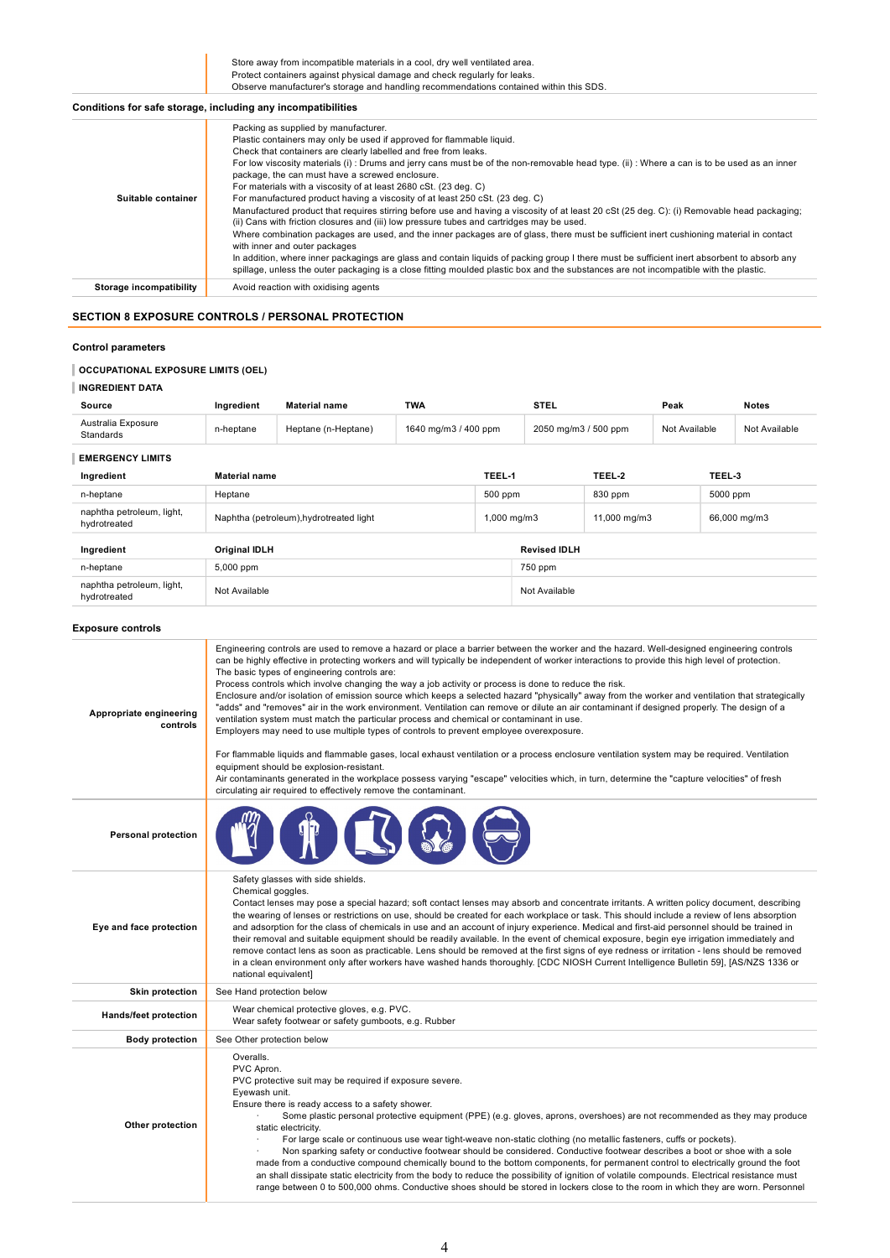Store away from incompatible materials in a cool, dry well ventilated area. Protect containers against physical damage and check regularly for leaks. Observe manufacturer's storage and handling recommendations contained within this SDS.

# Conditions for safe storage, including any incompatibilities

| Suitable container      | Packing as supplied by manufacturer.<br>Plastic containers may only be used if approved for flammable liquid.<br>Check that containers are clearly labelled and free from leaks.<br>For low viscosity materials (i): Drums and jerry cans must be of the non-removable head type. (ii): Where a can is to be used as an inner<br>package, the can must have a screwed enclosure.<br>For materials with a viscosity of at least 2680 cSt. (23 deg. C)<br>For manufactured product having a viscosity of at least 250 cSt. (23 deg. C)<br>Manufactured product that requires stirring before use and having a viscosity of at least 20 cSt (25 deg. C): (i) Removable head packaging;<br>(ii) Cans with friction closures and (iii) low pressure tubes and cartridges may be used.<br>Where combination packages are used, and the inner packages are of glass, there must be sufficient inert cushioning material in contact<br>with inner and outer packages<br>In addition, where inner packagings are glass and contain liquids of packing group I there must be sufficient inert absorbent to absorb any<br>spillage, unless the outer packaging is a close fitting moulded plastic box and the substances are not incompatible with the plastic. |
|-------------------------|------------------------------------------------------------------------------------------------------------------------------------------------------------------------------------------------------------------------------------------------------------------------------------------------------------------------------------------------------------------------------------------------------------------------------------------------------------------------------------------------------------------------------------------------------------------------------------------------------------------------------------------------------------------------------------------------------------------------------------------------------------------------------------------------------------------------------------------------------------------------------------------------------------------------------------------------------------------------------------------------------------------------------------------------------------------------------------------------------------------------------------------------------------------------------------------------------------------------------------------------------|
| Storage incompatibility | Avoid reaction with oxidising agents                                                                                                                                                                                                                                                                                                                                                                                                                                                                                                                                                                                                                                                                                                                                                                                                                                                                                                                                                                                                                                                                                                                                                                                                                 |
|                         |                                                                                                                                                                                                                                                                                                                                                                                                                                                                                                                                                                                                                                                                                                                                                                                                                                                                                                                                                                                                                                                                                                                                                                                                                                                      |

# SECTION 8 EXPOSURE CONTROLS / PERSONAL PROTECTION

## Control parameters

## OCCUPATIONAL EXPOSURE LIMITS (OEL)

| <b>INGREDIENT DATA</b>                    |                                           |                                                                                                                                                                                                                                                                                                                                                                                                                                                                                                                                                                                                                                                                                                                                                                                                                                                                                                                                                                                                                                                             |                      |         |                                             |        |               |        |               |
|-------------------------------------------|-------------------------------------------|-------------------------------------------------------------------------------------------------------------------------------------------------------------------------------------------------------------------------------------------------------------------------------------------------------------------------------------------------------------------------------------------------------------------------------------------------------------------------------------------------------------------------------------------------------------------------------------------------------------------------------------------------------------------------------------------------------------------------------------------------------------------------------------------------------------------------------------------------------------------------------------------------------------------------------------------------------------------------------------------------------------------------------------------------------------|----------------------|---------|---------------------------------------------|--------|---------------|--------|---------------|
| Source                                    | Ingredient                                | <b>Material name</b>                                                                                                                                                                                                                                                                                                                                                                                                                                                                                                                                                                                                                                                                                                                                                                                                                                                                                                                                                                                                                                        | <b>TWA</b>           |         | <b>STEL</b>                                 |        | Peak          |        | <b>Notes</b>  |
| Australia Exposure<br>Standards           | n-heptane                                 | Heptane (n-Heptane)                                                                                                                                                                                                                                                                                                                                                                                                                                                                                                                                                                                                                                                                                                                                                                                                                                                                                                                                                                                                                                         | 1640 mg/m3 / 400 ppm |         | 2050 mg/m3 / 500 ppm                        |        | Not Available |        | Not Available |
| <b>EMERGENCY LIMITS</b>                   |                                           |                                                                                                                                                                                                                                                                                                                                                                                                                                                                                                                                                                                                                                                                                                                                                                                                                                                                                                                                                                                                                                                             |                      |         |                                             |        |               |        |               |
| Ingredient                                | <b>Material name</b>                      |                                                                                                                                                                                                                                                                                                                                                                                                                                                                                                                                                                                                                                                                                                                                                                                                                                                                                                                                                                                                                                                             |                      | TEEL-1  |                                             | TEEL-2 |               | TEEL-3 |               |
| n-heptane                                 | Heptane                                   |                                                                                                                                                                                                                                                                                                                                                                                                                                                                                                                                                                                                                                                                                                                                                                                                                                                                                                                                                                                                                                                             |                      | 500 ppm | 830 ppm                                     |        | 5000 ppm      |        |               |
| naphtha petroleum, light,<br>hydrotreated |                                           | Naphtha (petroleum), hydrotreated light                                                                                                                                                                                                                                                                                                                                                                                                                                                                                                                                                                                                                                                                                                                                                                                                                                                                                                                                                                                                                     |                      |         | 1,000 mg/m3<br>11,000 mg/m3<br>66,000 mg/m3 |        |               |        |               |
| Ingredient                                | Original IDLH                             |                                                                                                                                                                                                                                                                                                                                                                                                                                                                                                                                                                                                                                                                                                                                                                                                                                                                                                                                                                                                                                                             |                      |         | <b>Revised IDLII</b>                        |        |               |        |               |
| n-heptane                                 | 5,000 ppm                                 |                                                                                                                                                                                                                                                                                                                                                                                                                                                                                                                                                                                                                                                                                                                                                                                                                                                                                                                                                                                                                                                             |                      |         | 750 ppm                                     |        |               |        |               |
| naphtha petroleum, light,<br>hydrotreated | Not Available                             |                                                                                                                                                                                                                                                                                                                                                                                                                                                                                                                                                                                                                                                                                                                                                                                                                                                                                                                                                                                                                                                             |                      |         | Not Available                               |        |               |        |               |
| <b>Exposure controls</b>                  |                                           |                                                                                                                                                                                                                                                                                                                                                                                                                                                                                                                                                                                                                                                                                                                                                                                                                                                                                                                                                                                                                                                             |                      |         |                                             |        |               |        |               |
| Appropriate engineering<br>controls       |                                           | The basic types of engineering controls are:<br>Process controls which involve changing the way a job activity or process is done to reduce the risk.<br>Enclosure and/or isolation of emission source which keeps a selected hazard "physically" away from the worker and ventilation that strategically<br>"adds" and "removes" air in the work environment. Ventilation can remove or dilute an air contaminant if designed properly. The design of a<br>ventilation system must match the particular process and chemical or contaminant in use.<br>Employers may need to use multiple types of controls to prevent employee overexposure.<br>For flammable liquids and flammable gases, local exhaust ventilation or a process enclosure ventilation system may be required. Ventilation<br>equipment should be explosion-resistant.<br>Air contaminants generated in the workplace possess varying "escape" velocities which, in turn, determine the "capture velocities" of fresh<br>circulating air required to effectively remove the contaminant. |                      |         |                                             |        |               |        |               |
| <b>Personal protection</b>                |                                           |                                                                                                                                                                                                                                                                                                                                                                                                                                                                                                                                                                                                                                                                                                                                                                                                                                                                                                                                                                                                                                                             |                      |         |                                             |        |               |        |               |
| Eye and face protection                   | Chemical goggles.<br>national equivalent] | Safety glasses with side shields.<br>Contact lenses may pose a special hazard; soft contact lenses may absorb and concentrate irritants. A written policy document, describing<br>the wearing of lenses or restrictions on use, should be created for each workplace or task. This should include a review of lens absorption<br>and adsorption for the class of chemicals in use and an account of injury experience. Medical and first-aid personnel should be trained in<br>their removal and suitable equipment should be readily available. In the event of chemical exposure, begin eye irrigation immediately and<br>remove contact lens as soon as practicable. Lens should be removed at the first signs of eye redness or irritation - lens should be removed<br>in a clean environment only after workers have washed hands thoroughly. [CDC NIOSH Current Intelligence Bulletin 59], [AS/NZS 1336 or                                                                                                                                            |                      |         |                                             |        |               |        |               |
| <b>Skin protection</b>                    | See Hand protection below                 |                                                                                                                                                                                                                                                                                                                                                                                                                                                                                                                                                                                                                                                                                                                                                                                                                                                                                                                                                                                                                                                             |                      |         |                                             |        |               |        |               |
|                                           |                                           | $Mcorr$ obemies in protective gloves $R_{\rm max} = 5M$                                                                                                                                                                                                                                                                                                                                                                                                                                                                                                                                                                                                                                                                                                                                                                                                                                                                                                                                                                                                     |                      |         |                                             |        |               |        |               |

| <b>Skin protection</b> | See Hand protection below                                                                                                                                                                                                                                                                                                                                                                                                                                                                                                                                                                                                                                                                                                                                                                                                                                                                                                                                                             |  |  |  |  |  |
|------------------------|---------------------------------------------------------------------------------------------------------------------------------------------------------------------------------------------------------------------------------------------------------------------------------------------------------------------------------------------------------------------------------------------------------------------------------------------------------------------------------------------------------------------------------------------------------------------------------------------------------------------------------------------------------------------------------------------------------------------------------------------------------------------------------------------------------------------------------------------------------------------------------------------------------------------------------------------------------------------------------------|--|--|--|--|--|
| Hands/feet protection  | Wear chemical protective gloves, e.g. PVC.<br>Wear safety footwear or safety gumboots, e.g. Rubber                                                                                                                                                                                                                                                                                                                                                                                                                                                                                                                                                                                                                                                                                                                                                                                                                                                                                    |  |  |  |  |  |
| <b>Body protection</b> | See Other protection below                                                                                                                                                                                                                                                                                                                                                                                                                                                                                                                                                                                                                                                                                                                                                                                                                                                                                                                                                            |  |  |  |  |  |
| Other protection       | Overalls.<br>PVC Apron.<br>PVC protective suit may be required if exposure severe.<br>Eyewash unit.<br>Ensure there is ready access to a safety shower.<br>Some plastic personal protective equipment (PPE) (e.g. gloves, aprons, overshoes) are not recommended as they may produce<br>static electricity.<br>For large scale or continuous use wear tight-weave non-static clothing (no metallic fasteners, cuffs or pockets).<br>Non sparking safety or conductive footwear should be considered. Conductive footwear describes a boot or shoe with a sole<br>made from a conductive compound chemically bound to the bottom components, for permanent control to electrically ground the foot<br>an shall dissipate static electricity from the body to reduce the possibility of ignition of volatile compounds. Electrical resistance must<br>range between 0 to 500,000 ohms. Conductive shoes should be stored in lockers close to the room in which they are worn. Personnel |  |  |  |  |  |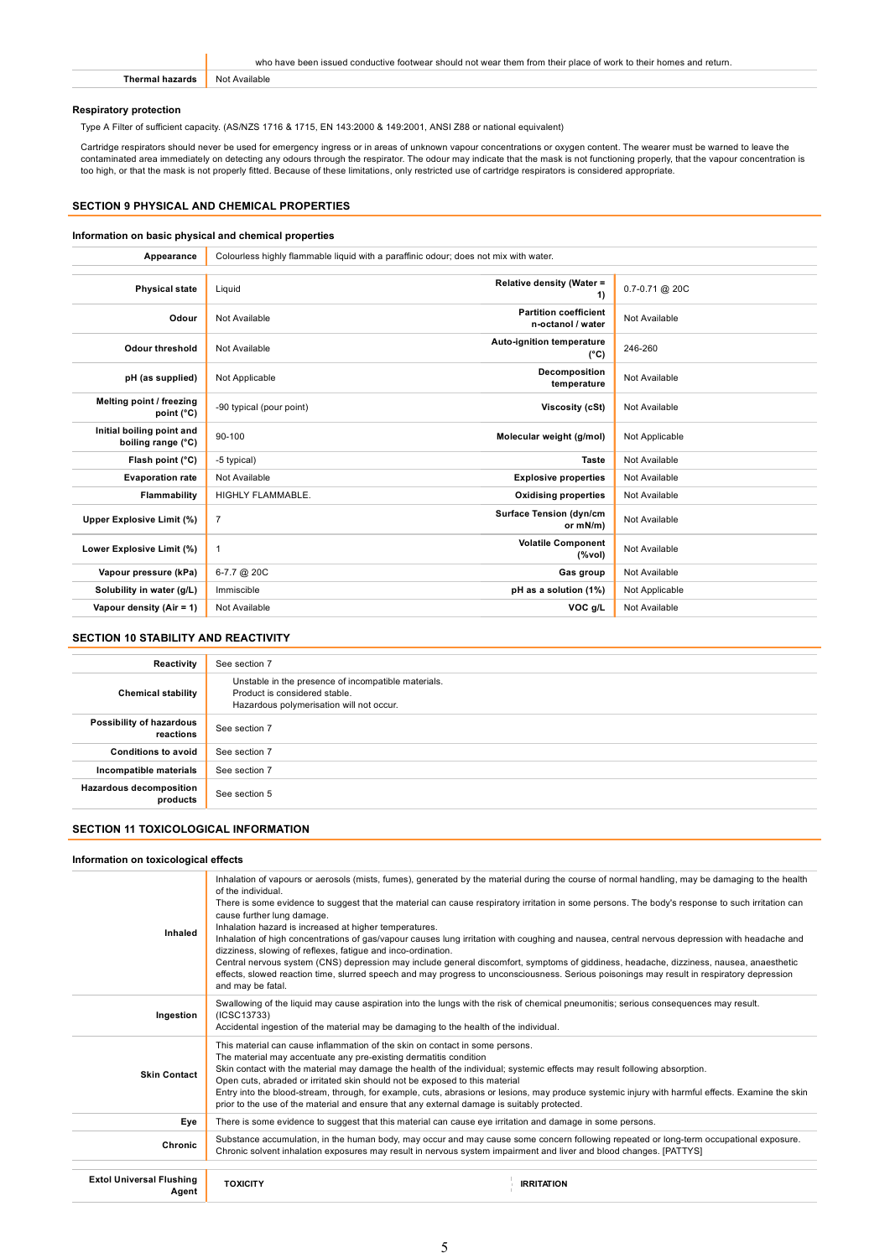| who have been issued conductive footwear should not wear them from their place of work to their homes and return. |
|-------------------------------------------------------------------------------------------------------------------|
| Not Available                                                                                                     |

## Respiratory protection

Type A Filter of sufficient capacity. (AS/NZS 1716 & 1715, EN 143:2000 & 149:2001, ANSI Z88 or national equivalent)

Cartridge respirators should never be used for emergency ingress or in areas of unknown vapour concentrations or oxygen content. The wearer must be warned to leave the contaminated area immediately on detecting any odours through the respirator. The odour may indicate that the mask is not functioning properly, that the vapour concentration is too high, or that the mask is not properly fitted. Because of these limitations, only restricted use of cartridge respirators is considered appropriate.

## SECTION 9 PHYSICAL AND CHEMICAL PROPERTIES

## Information on basic physical and chemical properties

| Appearance                                      | Colourless highly flammable liquid with a paraffinic odour; does not mix with water. |                                                   |                    |  |  |
|-------------------------------------------------|--------------------------------------------------------------------------------------|---------------------------------------------------|--------------------|--|--|
|                                                 |                                                                                      |                                                   |                    |  |  |
| <b>Physical state</b>                           | Liquid                                                                               | Relative density (Water =<br>1)                   | $0.7 - 0.71$ @ 20C |  |  |
| Odour                                           | Not Available                                                                        | <b>Partition coefficient</b><br>n-octanol / water | Not Available      |  |  |
| <b>Odour threshold</b>                          | Not Available                                                                        | Auto-ignition temperature<br>$(^{\circ}C)$        | 246-260            |  |  |
| pH (as supplied)                                | Not Applicable                                                                       | Decomposition<br>temperature                      | Not Available      |  |  |
| Melting point / freezing<br>point (°C)          | -90 typical (pour point)                                                             | Viscosity (cSt)                                   | Not Available      |  |  |
| Initial boiling point and<br>boiling range (°C) | 90-100                                                                               | Molecular weight (g/mol)                          | Not Applicable     |  |  |
| Flash point (°C)                                | -5 typical)                                                                          | <b>Taste</b>                                      | Not Available      |  |  |
| <b>Evaporation rate</b>                         | Not Available                                                                        | <b>Explosive properties</b>                       | Not Available      |  |  |
| Flammability                                    | HIGHLY FLAMMABLE.                                                                    | <b>Oxidising properties</b>                       | Not Available      |  |  |
| Upper Explosive Limit (%)                       | $\overline{7}$                                                                       | <b>Surface Tension (dyn/cm</b><br>or mN/m)        | Not Available      |  |  |
| Lower Explosive Limit (%)                       | $\mathbf{1}$                                                                         | <b>Volatile Component</b><br>(%vol)               | Not Available      |  |  |
| Vapour pressure (kPa)                           | 6-7.7 @ 20C                                                                          | Gas group                                         | Not Available      |  |  |
| Solubility in water (g/L)                       | Immiscible                                                                           | pH as a solution (1%)                             | Not Applicable     |  |  |
| Vapour density (Air = 1)                        | Not Available                                                                        | VOC g/L                                           | Not Available      |  |  |

#### SECTION 10 STABILITY AND REACTIVITY

| Reactivity                                 | See section 7                                                                                                                    |
|--------------------------------------------|----------------------------------------------------------------------------------------------------------------------------------|
| <b>Chemical stability</b>                  | Unstable in the presence of incompatible materials.<br>Product is considered stable.<br>Hazardous polymerisation will not occur. |
| Possibility of hazardous<br>reactions      | See section 7                                                                                                                    |
| <b>Conditions to avoid</b>                 | See section 7                                                                                                                    |
| Incompatible materials                     | See section 7                                                                                                                    |
| <b>Hazardous decomposition</b><br>products | See section 5                                                                                                                    |

# SECTION 11 TOXICOLOGICAL INFORMATION

## Information on toxicological effects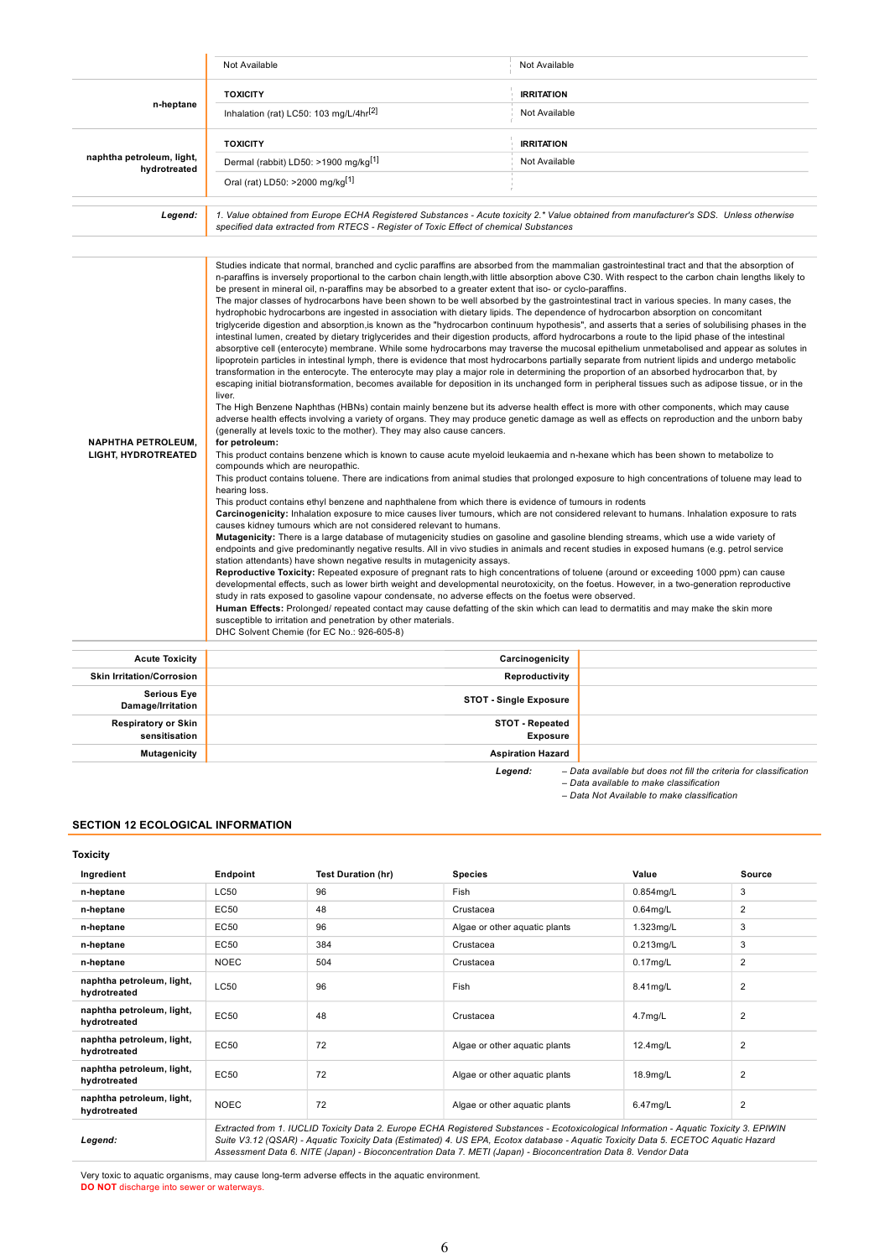|                                                         | Not Available                                                                                                                                                                                                                                                                                                                                                                                                                                                                                                                                                                                                                                                                                                                                                                                                                                                                                                                                                                                                                                                                                                                                                                                                                                                                                                                                                                                                                                                                                                                                                                                                                                                                                                                                                                                                                                                                                                                                                                                                                                                                                                                                                                                                                                                                                                                                                                                                                                                                                                                                                                                                                                                                                                                                                                                                                                                                                                                                                                                                                                                                                                                                                                                                                                                                                                                                                                                                                                                                                                                                                                                                                                                                                                          | Not Available                      |  |  |  |  |
|---------------------------------------------------------|------------------------------------------------------------------------------------------------------------------------------------------------------------------------------------------------------------------------------------------------------------------------------------------------------------------------------------------------------------------------------------------------------------------------------------------------------------------------------------------------------------------------------------------------------------------------------------------------------------------------------------------------------------------------------------------------------------------------------------------------------------------------------------------------------------------------------------------------------------------------------------------------------------------------------------------------------------------------------------------------------------------------------------------------------------------------------------------------------------------------------------------------------------------------------------------------------------------------------------------------------------------------------------------------------------------------------------------------------------------------------------------------------------------------------------------------------------------------------------------------------------------------------------------------------------------------------------------------------------------------------------------------------------------------------------------------------------------------------------------------------------------------------------------------------------------------------------------------------------------------------------------------------------------------------------------------------------------------------------------------------------------------------------------------------------------------------------------------------------------------------------------------------------------------------------------------------------------------------------------------------------------------------------------------------------------------------------------------------------------------------------------------------------------------------------------------------------------------------------------------------------------------------------------------------------------------------------------------------------------------------------------------------------------------------------------------------------------------------------------------------------------------------------------------------------------------------------------------------------------------------------------------------------------------------------------------------------------------------------------------------------------------------------------------------------------------------------------------------------------------------------------------------------------------------------------------------------------------------------------------------------------------------------------------------------------------------------------------------------------------------------------------------------------------------------------------------------------------------------------------------------------------------------------------------------------------------------------------------------------------------------------------------------------------------------------------------------------------|------------------------------------|--|--|--|--|
|                                                         | <b>TOXICITY</b>                                                                                                                                                                                                                                                                                                                                                                                                                                                                                                                                                                                                                                                                                                                                                                                                                                                                                                                                                                                                                                                                                                                                                                                                                                                                                                                                                                                                                                                                                                                                                                                                                                                                                                                                                                                                                                                                                                                                                                                                                                                                                                                                                                                                                                                                                                                                                                                                                                                                                                                                                                                                                                                                                                                                                                                                                                                                                                                                                                                                                                                                                                                                                                                                                                                                                                                                                                                                                                                                                                                                                                                                                                                                                                        | <b>IRRITATION</b>                  |  |  |  |  |
| n-heptane                                               | Inhalation (rat) LC50: 103 mg/L/4hr <sup>[2]</sup>                                                                                                                                                                                                                                                                                                                                                                                                                                                                                                                                                                                                                                                                                                                                                                                                                                                                                                                                                                                                                                                                                                                                                                                                                                                                                                                                                                                                                                                                                                                                                                                                                                                                                                                                                                                                                                                                                                                                                                                                                                                                                                                                                                                                                                                                                                                                                                                                                                                                                                                                                                                                                                                                                                                                                                                                                                                                                                                                                                                                                                                                                                                                                                                                                                                                                                                                                                                                                                                                                                                                                                                                                                                                     | Not Available                      |  |  |  |  |
|                                                         | <b>TOXICITY</b>                                                                                                                                                                                                                                                                                                                                                                                                                                                                                                                                                                                                                                                                                                                                                                                                                                                                                                                                                                                                                                                                                                                                                                                                                                                                                                                                                                                                                                                                                                                                                                                                                                                                                                                                                                                                                                                                                                                                                                                                                                                                                                                                                                                                                                                                                                                                                                                                                                                                                                                                                                                                                                                                                                                                                                                                                                                                                                                                                                                                                                                                                                                                                                                                                                                                                                                                                                                                                                                                                                                                                                                                                                                                                                        | <b>IRRITATION</b>                  |  |  |  |  |
| naphtha petroleum, light,<br>hydrotreated               | Dermal (rabbit) LD50: >1900 mg/kg <sup>[1]</sup>                                                                                                                                                                                                                                                                                                                                                                                                                                                                                                                                                                                                                                                                                                                                                                                                                                                                                                                                                                                                                                                                                                                                                                                                                                                                                                                                                                                                                                                                                                                                                                                                                                                                                                                                                                                                                                                                                                                                                                                                                                                                                                                                                                                                                                                                                                                                                                                                                                                                                                                                                                                                                                                                                                                                                                                                                                                                                                                                                                                                                                                                                                                                                                                                                                                                                                                                                                                                                                                                                                                                                                                                                                                                       | Not Available                      |  |  |  |  |
|                                                         | Oral (rat) LD50: >2000 mg/kg <sup>[1]</sup>                                                                                                                                                                                                                                                                                                                                                                                                                                                                                                                                                                                                                                                                                                                                                                                                                                                                                                                                                                                                                                                                                                                                                                                                                                                                                                                                                                                                                                                                                                                                                                                                                                                                                                                                                                                                                                                                                                                                                                                                                                                                                                                                                                                                                                                                                                                                                                                                                                                                                                                                                                                                                                                                                                                                                                                                                                                                                                                                                                                                                                                                                                                                                                                                                                                                                                                                                                                                                                                                                                                                                                                                                                                                            |                                    |  |  |  |  |
| Legend:                                                 | 1. Value obtained from Europe ECHA Registered Substances - Acute toxicity 2.* Value obtained from manufacturer's SDS. Unless otherwise<br>specified data extracted from RTECS - Register of Toxic Effect of chemical Substances                                                                                                                                                                                                                                                                                                                                                                                                                                                                                                                                                                                                                                                                                                                                                                                                                                                                                                                                                                                                                                                                                                                                                                                                                                                                                                                                                                                                                                                                                                                                                                                                                                                                                                                                                                                                                                                                                                                                                                                                                                                                                                                                                                                                                                                                                                                                                                                                                                                                                                                                                                                                                                                                                                                                                                                                                                                                                                                                                                                                                                                                                                                                                                                                                                                                                                                                                                                                                                                                                        |                                    |  |  |  |  |
|                                                         |                                                                                                                                                                                                                                                                                                                                                                                                                                                                                                                                                                                                                                                                                                                                                                                                                                                                                                                                                                                                                                                                                                                                                                                                                                                                                                                                                                                                                                                                                                                                                                                                                                                                                                                                                                                                                                                                                                                                                                                                                                                                                                                                                                                                                                                                                                                                                                                                                                                                                                                                                                                                                                                                                                                                                                                                                                                                                                                                                                                                                                                                                                                                                                                                                                                                                                                                                                                                                                                                                                                                                                                                                                                                                                                        |                                    |  |  |  |  |
| <b>NAPHTHA PETROLEUM,</b><br><b>LIGHT, HYDROTREATED</b> | Studies indicate that normal, branched and cyclic paraffins are absorbed from the mammalian gastrointestinal tract and that the absorption of<br>n-paraffins is inversely proportional to the carbon chain length, with little absorption above C30. With respect to the carbon chain lengths likely to<br>be present in mineral oil, n-paraffins may be absorbed to a greater extent that iso- or cyclo-paraffins.<br>The major classes of hydrocarbons have been shown to be well absorbed by the gastrointestinal tract in various species. In many cases, the<br>hydrophobic hydrocarbons are ingested in association with dietary lipids. The dependence of hydrocarbon absorption on concomitant<br>triglyceride digestion and absorption, is known as the "hydrocarbon continuum hypothesis", and asserts that a series of solubilising phases in the<br>intestinal lumen, created by dietary triglycerides and their digestion products, afford hydrocarbons a route to the lipid phase of the intestinal<br>absorptive cell (enterocyte) membrane. While some hydrocarbons may traverse the mucosal epithelium unmetabolised and appear as solutes in<br>lipoprotein particles in intestinal lymph, there is evidence that most hydrocarbons partially separate from nutrient lipids and undergo metabolic<br>transformation in the enterocyte. The enterocyte may play a major role in determining the proportion of an absorbed hydrocarbon that, by<br>escaping initial biotransformation, becomes available for deposition in its unchanged form in peripheral tissues such as adipose tissue, or in the<br>liver.<br>The High Benzene Naphthas (HBNs) contain mainly benzene but its adverse health effect is more with other components, which may cause<br>adverse health effects involving a variety of organs. They may produce genetic damage as well as effects on reproduction and the unborn baby<br>(generally at levels toxic to the mother). They may also cause cancers.<br>for petroleum:<br>This product contains benzene which is known to cause acute myeloid leukaemia and n-hexane which has been shown to metabolize to<br>compounds which are neuropathic.<br>This product contains toluene. There are indications from animal studies that prolonged exposure to high concentrations of toluene may lead to<br>hearing loss.<br>This product contains ethyl benzene and naphthalene from which there is evidence of tumours in rodents<br>Carcinogenicity: Inhalation exposure to mice causes liver tumours, which are not considered relevant to humans. Inhalation exposure to rats<br>causes kidney tumours which are not considered relevant to humans.<br>Mutagenicity: There is a large database of mutagenicity studies on gasoline and gasoline blending streams, which use a wide variety of<br>endpoints and give predominantly negative results. All in vivo studies in animals and recent studies in exposed humans (e.g. petrol service<br>station attendants) have shown negative results in mutagenicity assays.<br>Reproductive Toxicity: Repeated exposure of pregnant rats to high concentrations of toluene (around or exceeding 1000 ppm) can cause<br>developmental effects, such as lower birth weight and developmental neurotoxicity, on the foetus. However, in a two-generation reproductive<br>study in rats exposed to gasoline vapour condensate, no adverse effects on the foetus were observed.<br>Human Effects: Prolonged/ repeated contact may cause defatting of the skin which can lead to dermatitis and may make the skin more<br>susceptible to irritation and penetration by other materials.<br>DHC Solvent Chemie (for EC No.: 926-605-8) |                                    |  |  |  |  |
| <b>Acute Toxicity</b>                                   |                                                                                                                                                                                                                                                                                                                                                                                                                                                                                                                                                                                                                                                                                                                                                                                                                                                                                                                                                                                                                                                                                                                                                                                                                                                                                                                                                                                                                                                                                                                                                                                                                                                                                                                                                                                                                                                                                                                                                                                                                                                                                                                                                                                                                                                                                                                                                                                                                                                                                                                                                                                                                                                                                                                                                                                                                                                                                                                                                                                                                                                                                                                                                                                                                                                                                                                                                                                                                                                                                                                                                                                                                                                                                                                        | Carcinogenicity                    |  |  |  |  |
| <b>Skin Irritation/Corrosion</b>                        |                                                                                                                                                                                                                                                                                                                                                                                                                                                                                                                                                                                                                                                                                                                                                                                                                                                                                                                                                                                                                                                                                                                                                                                                                                                                                                                                                                                                                                                                                                                                                                                                                                                                                                                                                                                                                                                                                                                                                                                                                                                                                                                                                                                                                                                                                                                                                                                                                                                                                                                                                                                                                                                                                                                                                                                                                                                                                                                                                                                                                                                                                                                                                                                                                                                                                                                                                                                                                                                                                                                                                                                                                                                                                                                        | Reproductivity                     |  |  |  |  |
| <b>Serious Eye</b><br>Damage/Irritation                 | <b>STOT - Single Exposure</b>                                                                                                                                                                                                                                                                                                                                                                                                                                                                                                                                                                                                                                                                                                                                                                                                                                                                                                                                                                                                                                                                                                                                                                                                                                                                                                                                                                                                                                                                                                                                                                                                                                                                                                                                                                                                                                                                                                                                                                                                                                                                                                                                                                                                                                                                                                                                                                                                                                                                                                                                                                                                                                                                                                                                                                                                                                                                                                                                                                                                                                                                                                                                                                                                                                                                                                                                                                                                                                                                                                                                                                                                                                                                                          |                                    |  |  |  |  |
| <b>Respiratory or Skin</b><br>sensitisation             |                                                                                                                                                                                                                                                                                                                                                                                                                                                                                                                                                                                                                                                                                                                                                                                                                                                                                                                                                                                                                                                                                                                                                                                                                                                                                                                                                                                                                                                                                                                                                                                                                                                                                                                                                                                                                                                                                                                                                                                                                                                                                                                                                                                                                                                                                                                                                                                                                                                                                                                                                                                                                                                                                                                                                                                                                                                                                                                                                                                                                                                                                                                                                                                                                                                                                                                                                                                                                                                                                                                                                                                                                                                                                                                        | STOT - Repeated<br><b>Exposure</b> |  |  |  |  |
| Mutagenicity                                            | <b>Aspiration Hazard</b>                                                                                                                                                                                                                                                                                                                                                                                                                                                                                                                                                                                                                                                                                                                                                                                                                                                                                                                                                                                                                                                                                                                                                                                                                                                                                                                                                                                                                                                                                                                                                                                                                                                                                                                                                                                                                                                                                                                                                                                                                                                                                                                                                                                                                                                                                                                                                                                                                                                                                                                                                                                                                                                                                                                                                                                                                                                                                                                                                                                                                                                                                                                                                                                                                                                                                                                                                                                                                                                                                                                                                                                                                                                                                               |                                    |  |  |  |  |

Legend: - Data available but does not fill the criteria for classification

– Data available to make classification

# SECTION 12 ECOLOGICAL INFORMATION

Toxicity

| Ingredient                                | Endpoint    | <b>Test Duration (hr)</b> | <b>Species</b>                                                                                                                                                                                                                                                                                                                                                                                  | Value               | Source         |
|-------------------------------------------|-------------|---------------------------|-------------------------------------------------------------------------------------------------------------------------------------------------------------------------------------------------------------------------------------------------------------------------------------------------------------------------------------------------------------------------------------------------|---------------------|----------------|
| n-heptane                                 | LC50        | 96                        | Fish                                                                                                                                                                                                                                                                                                                                                                                            | $0.854$ mg/L        | 3              |
| n-heptane                                 | EC50        | 48                        | Crustacea                                                                                                                                                                                                                                                                                                                                                                                       | $0.64$ mg/L         | $\overline{2}$ |
| n-heptane                                 | EC50        | 96                        | Algae or other aquatic plants                                                                                                                                                                                                                                                                                                                                                                   | 1.323mg/L           | 3              |
| n-heptane                                 | EC50        | 384                       | Crustacea                                                                                                                                                                                                                                                                                                                                                                                       | $0.213$ mg/L        | 3              |
| n-heptane                                 | <b>NOEC</b> | 504                       | Crustacea                                                                                                                                                                                                                                                                                                                                                                                       | $0.17$ mg/L         | $\overline{2}$ |
| naphtha petroleum, light,<br>hydrotreated | LC50        | 96                        | Fish                                                                                                                                                                                                                                                                                                                                                                                            | 8.41mg/L            | $\overline{2}$ |
| naphtha petroleum, light,<br>hydrotreated | EC50        | 48                        | Crustacea                                                                                                                                                                                                                                                                                                                                                                                       | 4.7 <sub>mg/L</sub> | $\overline{2}$ |
| naphtha petroleum, light,<br>hydrotreated | EC50        | 72                        | Algae or other aquatic plants                                                                                                                                                                                                                                                                                                                                                                   | 12.4mg/L            | $\overline{2}$ |
| naphtha petroleum, light,<br>hydrotreated | EC50        | 72                        | Algae or other aquatic plants                                                                                                                                                                                                                                                                                                                                                                   | 18.9mg/L            | $\overline{2}$ |
| naphtha petroleum, light,<br>hydrotreated | <b>NOEC</b> | 72                        | Algae or other aquatic plants                                                                                                                                                                                                                                                                                                                                                                   | 6.47mg/L            | $\overline{2}$ |
| Legend:                                   |             |                           | Extracted from 1. IUCLID Toxicity Data 2. Europe ECHA Registered Substances - Ecotoxicological Information - Aquatic Toxicity 3. EPIWIN<br>Suite V3.12 (QSAR) - Aquatic Toxicity Data (Estimated) 4. US EPA, Ecotox database - Aquatic Toxicity Data 5. ECETOC Aquatic Hazard<br>Assessment Data 6. NITE (Japan) - Bioconcentration Data 7. METI (Japan) - Bioconcentration Data 8. Vendor Data |                     |                |

Very toxic to aquatic organisms, may cause long-term adverse effects in the aquatic environment.<br>**DO NOT** discharge into sewer or waterways.

 <sup>–</sup> Data Not Available to make classification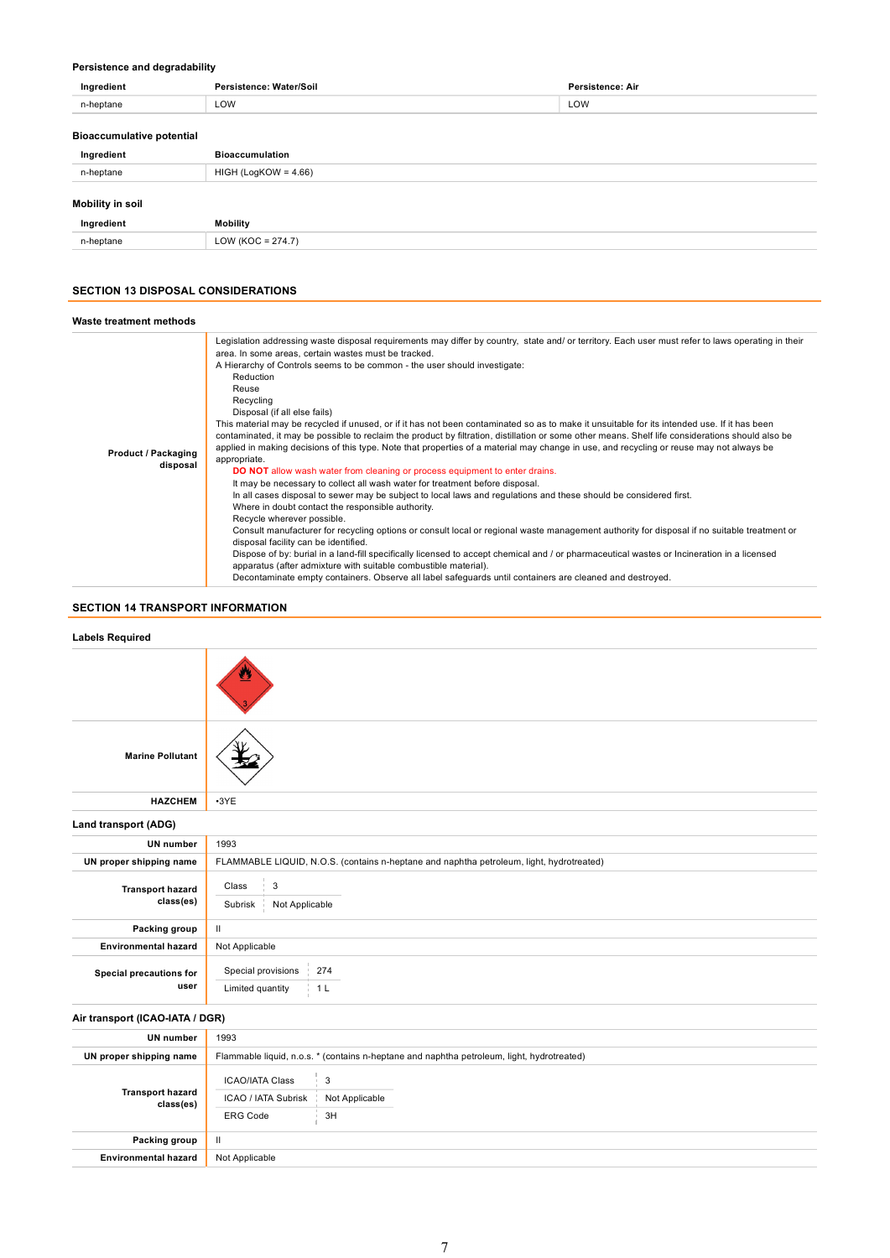# Persistence and degradability

| Ingredient                       | Persistence: Water/Soil | Persistence: Air |
|----------------------------------|-------------------------|------------------|
| n-heptane                        | LOW                     | LOW              |
| <b>Bioaccumulative potential</b> |                         |                  |
| Ingredient                       | <b>Bioaccumulation</b>  |                  |
| n-heptane                        | $HIGH (LogKOW = 4.66)$  |                  |
|                                  |                         |                  |

# Mobility in soil

| Ingredient | <b>Mobility</b>                                                                  |
|------------|----------------------------------------------------------------------------------|
| n-heptane  | $\bigcap_{\Lambda}$<br>–<br>1100<br>74<br>$\overline{\phantom{0}}$<br>ັ∟ບ∗<br>__ |

# SECTION 13 DISPOSAL CONSIDERATIONS

| Waste treatment methods                |                                                                                                                                                                                                                                                                                                                                                                                                                                                                                                                                                                                                                                                                                                                                                                                                                                                                                                                                                                                                                                                                                                                                                                                                                                                                                                                                                                                                                                                                                                                                                                                                                                                                                                                               |  |
|----------------------------------------|-------------------------------------------------------------------------------------------------------------------------------------------------------------------------------------------------------------------------------------------------------------------------------------------------------------------------------------------------------------------------------------------------------------------------------------------------------------------------------------------------------------------------------------------------------------------------------------------------------------------------------------------------------------------------------------------------------------------------------------------------------------------------------------------------------------------------------------------------------------------------------------------------------------------------------------------------------------------------------------------------------------------------------------------------------------------------------------------------------------------------------------------------------------------------------------------------------------------------------------------------------------------------------------------------------------------------------------------------------------------------------------------------------------------------------------------------------------------------------------------------------------------------------------------------------------------------------------------------------------------------------------------------------------------------------------------------------------------------------|--|
| <b>Product / Packaging</b><br>disposal | Legislation addressing waste disposal requirements may differ by country, state and/ or territory. Each user must refer to laws operating in their<br>area. In some areas, certain wastes must be tracked.<br>A Hierarchy of Controls seems to be common - the user should investigate:<br>Reduction<br>Reuse<br>Recycling<br>Disposal (if all else fails)<br>This material may be recycled if unused, or if it has not been contaminated so as to make it unsuitable for its intended use. If it has been<br>contaminated, it may be possible to reclaim the product by filtration, distillation or some other means. Shelf life considerations should also be<br>applied in making decisions of this type. Note that properties of a material may change in use, and recycling or reuse may not always be<br>appropriate.<br><b>DO NOT</b> allow wash water from cleaning or process equipment to enter drains.<br>It may be necessary to collect all wash water for treatment before disposal.<br>In all cases disposal to sewer may be subject to local laws and regulations and these should be considered first.<br>Where in doubt contact the responsible authority.<br>Recycle wherever possible.<br>Consult manufacturer for recycling options or consult local or regional waste management authority for disposal if no suitable treatment or<br>disposal facility can be identified.<br>Dispose of by: burial in a land-fill specifically licensed to accept chemical and / or pharmaceutical wastes or Incineration in a licensed<br>apparatus (after admixture with suitable combustible material).<br>Decontaminate empty containers. Observe all label safeguards until containers are cleaned and destroyed. |  |

# SECTION 14 TRANSPORT INFORMATION

| <b>Labels Required</b>               |                                                                                               |  |
|--------------------------------------|-----------------------------------------------------------------------------------------------|--|
|                                      |                                                                                               |  |
| <b>Marine Pollutant</b>              |                                                                                               |  |
| <b>HAZCHEM</b>                       | $-3YE$                                                                                        |  |
| Land transport (ADG)                 |                                                                                               |  |
| <b>UN</b> number                     | 1993                                                                                          |  |
| UN proper shipping name              | FLAMMABLE LIQUID, N.O.S. (contains n-heptane and naphtha petroleum, light, hydrotreated)      |  |
| <b>Transport hazard</b><br>class(es) | $\sqrt{3}$<br>Class<br>Subrisk<br>Not Applicable                                              |  |
| Packing group                        | Ш                                                                                             |  |
| <b>Environmental hazard</b>          | Not Applicable                                                                                |  |
| Special precautions for<br>user      | Special provisions<br>274<br>Limited quantity<br>1 <sub>L</sub>                               |  |
| Air transport (ICAO-IATA / DGR)      |                                                                                               |  |
| UN number                            | 1993                                                                                          |  |
| UN proper shipping name              | Flammable liquid, n.o.s. * (contains n-heptane and naphtha petroleum, light, hydrotreated)    |  |
| <b>Transport hazard</b><br>class(es) | 3<br><b>ICAO/IATA Class</b><br>ICAO / IATA Subrisk<br>Not Applicable<br><b>ERG Code</b><br>3H |  |
| Packing group                        | $\mathbf{II}$                                                                                 |  |
| <b>Environmental hazard</b>          | Not Applicable                                                                                |  |
|                                      |                                                                                               |  |